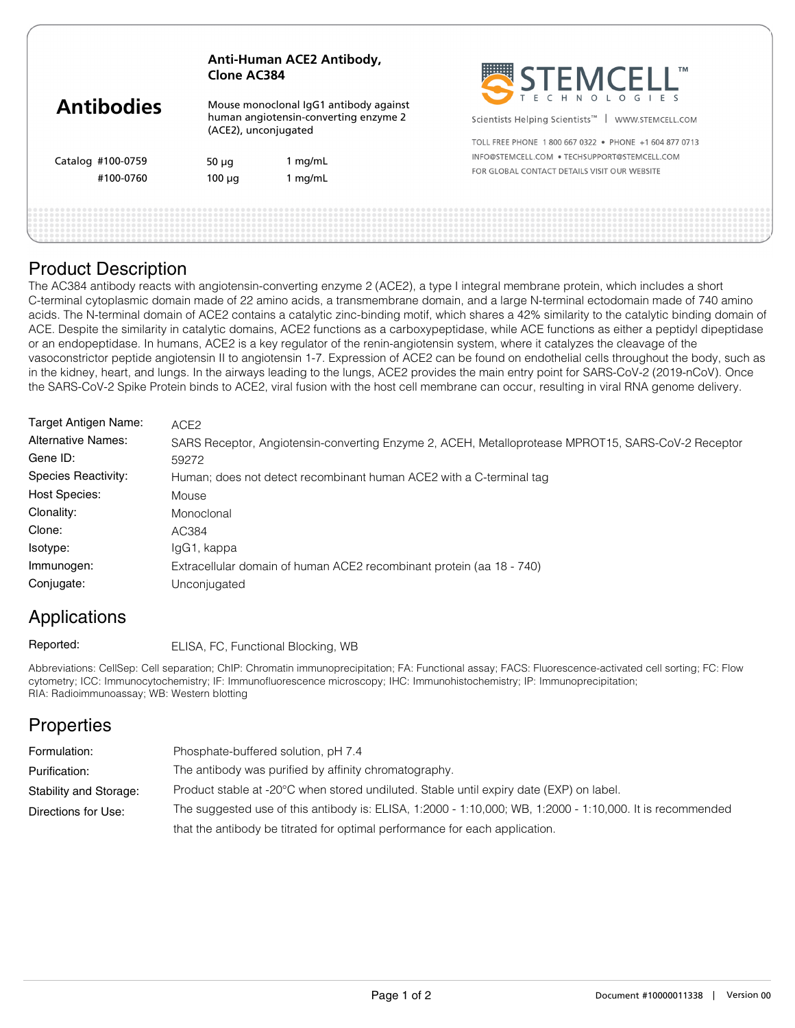|                                | Clone AC384                                                                                             | Anti-Human ACE2 Antibody, | SELEMCELL"                                                                                                                                            |  |
|--------------------------------|---------------------------------------------------------------------------------------------------------|---------------------------|-------------------------------------------------------------------------------------------------------------------------------------------------------|--|
| <b>Antibodies</b>              | Mouse monoclonal IgG1 antibody against<br>human angiotensin-converting enzyme 2<br>(ACE2), unconjugated |                           | Scientists Helping Scientists <sup>™</sup><br>WWW.STEMCELL.COM                                                                                        |  |
| Catalog #100-0759<br>#100-0760 | 50 $\mu$ q<br>$100 \mu q$                                                                               | 1 $mg/mL$<br>$1$ mg/mL    | TOLL FREE PHONE 1800 667 0322 . PHONE +1 604 877 0713<br>INFO@STEMCELL.COM . TECHSUPPORT@STEMCELL.COM<br>FOR GLOBAL CONTACT DETAILS VISIT OUR WEBSITE |  |
|                                |                                                                                                         |                           |                                                                                                                                                       |  |

#### Product Description

The AC384 antibody reacts with angiotensin-converting enzyme 2 (ACE2), a type I integral membrane protein, which includes a short C-terminal cytoplasmic domain made of 22 amino acids, a transmembrane domain, and a large N-terminal ectodomain made of 740 amino acids. The N-terminal domain of ACE2 contains a catalytic zinc-binding motif, which shares a 42% similarity to the catalytic binding domain of ACE. Despite the similarity in catalytic domains, ACE2 functions as a carboxypeptidase, while ACE functions as either a peptidyl dipeptidase or an endopeptidase. In humans, ACE2 is a key regulator of the renin-angiotensin system, where it catalyzes the cleavage of the vasoconstrictor peptide angiotensin II to angiotensin 1-7. Expression of ACE2 can be found on endothelial cells throughout the body, such as in the kidney, heart, and lungs. In the airways leading to the lungs, ACE2 provides the main entry point for SARS-CoV-2 (2019-nCoV). Once the SARS-CoV-2 Spike Protein binds to ACE2, viral fusion with the host cell membrane can occur, resulting in viral RNA genome delivery.

| Target Antigen Name:      | ACE <sub>2</sub>                                                                                   |
|---------------------------|----------------------------------------------------------------------------------------------------|
| <b>Alternative Names:</b> | SARS Receptor, Angiotensin-converting Enzyme 2, ACEH, Metalloprotease MPROT15, SARS-CoV-2 Receptor |
| Gene ID:                  | 59272                                                                                              |
| Species Reactivity:       | Human; does not detect recombinant human ACE2 with a C-terminal tag                                |
| <b>Host Species:</b>      | Mouse                                                                                              |
| Clonality:                | Monoclonal                                                                                         |
| Clone:                    | AC384                                                                                              |
| Isotype:                  | IgG1, kappa                                                                                        |
| Immunogen:                | Extracellular domain of human ACE2 recombinant protein (aa 18 - 740)                               |
| Conjugate:                | Unconjugated                                                                                       |

# Applications

ELISA, FC, Functional Blocking, WB Reported:

Abbreviations: CellSep: Cell separation; ChIP: Chromatin immunoprecipitation; FA: Functional assay; FACS: Fluorescence-activated cell sorting; FC: Flow cytometry; ICC: Immunocytochemistry; IF: Immunofluorescence microscopy; IHC: Immunohistochemistry; IP: Immunoprecipitation; RIA: Radioimmunoassay; WB: Western blotting

### **Properties**

| Formulation:           | Phosphate-buffered solution, pH 7.4                                                                       |
|------------------------|-----------------------------------------------------------------------------------------------------------|
| Purification:          | The antibody was purified by affinity chromatography.                                                     |
| Stability and Storage: | Product stable at -20°C when stored undiluted. Stable until expiry date (EXP) on label.                   |
| Directions for Use:    | The suggested use of this antibody is: ELISA, 1:2000 - 1:10,000; WB, 1:2000 - 1:10,000. It is recommended |
|                        | that the antibody be titrated for optimal performance for each application.                               |